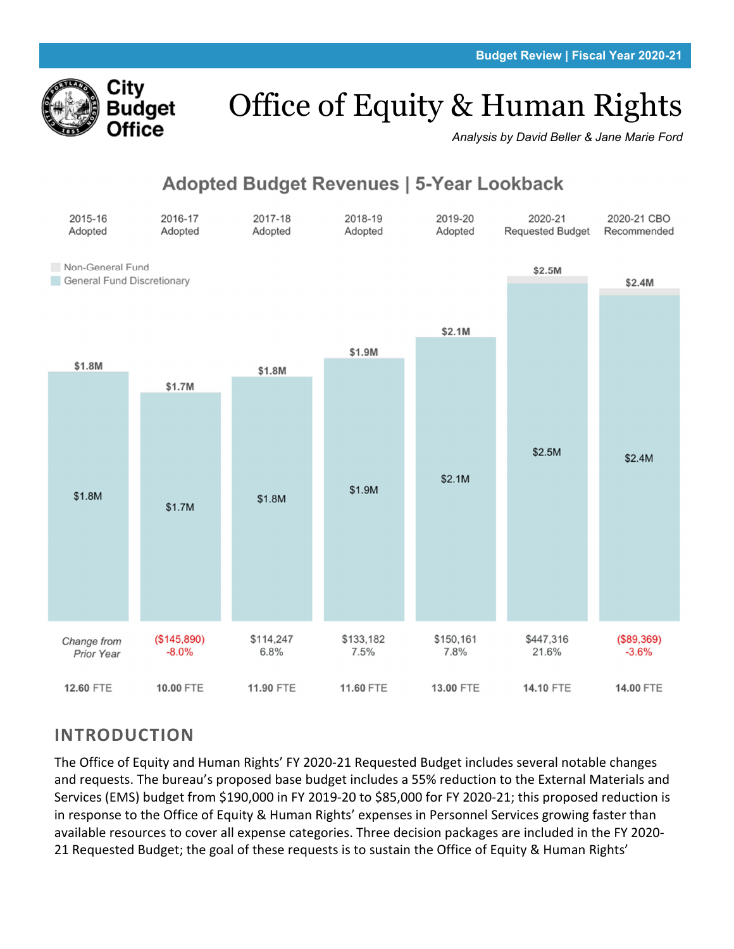

# Office of Equity & Human Rights

*Analysis by David Beller & Jane Marie Ford* 

# **Adopted Budget Revenues | 5-Year Lookback**



# **INTRODUCTION**

The Office of Equity and Human Rights' FY 2020‐21 Requested Budget includes several notable changes and requests. The bureau's proposed base budget includes a 55% reduction to the External Materials and Services (EMS) budget from \$190,000 in FY 2019‐20 to \$85,000 for FY 2020‐21; this proposed reduction is in response to the Office of Equity & Human Rights' expenses in Personnel Services growing faster than available resources to cover all expense categories. Three decision packages are included in the FY 2020‐ 21 Requested Budget; the goal of these requests is to sustain the Office of Equity & Human Rights'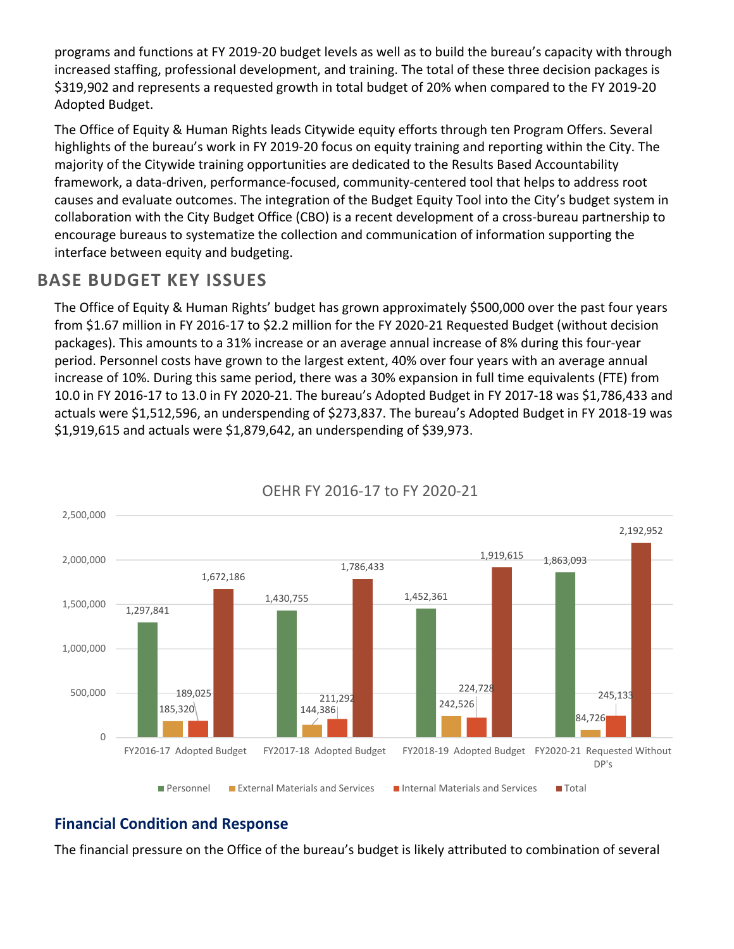programs and functions at FY 2019‐20 budget levels as well as to build the bureau's capacity with through increased staffing, professional development, and training. The total of these three decision packages is \$319,902 and represents a requested growth in total budget of 20% when compared to the FY 2019‐20 Adopted Budget.

The Office of Equity & Human Rights leads Citywide equity efforts through ten Program Offers. Several highlights of the bureau's work in FY 2019‐20 focus on equity training and reporting within the City. The majority of the Citywide training opportunities are dedicated to the Results Based Accountability framework, a data‐driven, performance‐focused, community‐centered tool that helps to address root causes and evaluate outcomes. The integration of the Budget Equity Tool into the City's budget system in collaboration with the City Budget Office (CBO) is a recent development of a cross-bureau partnership to encourage bureaus to systematize the collection and communication of information supporting the interface between equity and budgeting.

# **BASE BUDGET KEY ISSUES**

The Office of Equity & Human Rights' budget has grown approximately \$500,000 over the past four years from \$1.67 million in FY 2016‐17 to \$2.2 million for the FY 2020‐21 Requested Budget (without decision packages). This amounts to a 31% increase or an average annual increase of 8% during this four‐year period. Personnel costs have grown to the largest extent, 40% over four years with an average annual increase of 10%. During this same period, there was a 30% expansion in full time equivalents (FTE) from 10.0 in FY 2016‐17 to 13.0 in FY 2020‐21. The bureau's Adopted Budget in FY 2017‐18 was \$1,786,433 and actuals were \$1,512,596, an underspending of \$273,837. The bureau's Adopted Budget in FY 2018‐19 was \$1,919,615 and actuals were \$1,879,642, an underspending of \$39,973.



# OEHR FY 2016‐17 to FY 2020‐21

# **Financial Condition and Response**

The financial pressure on the Office of the bureau's budget is likely attributed to combination of several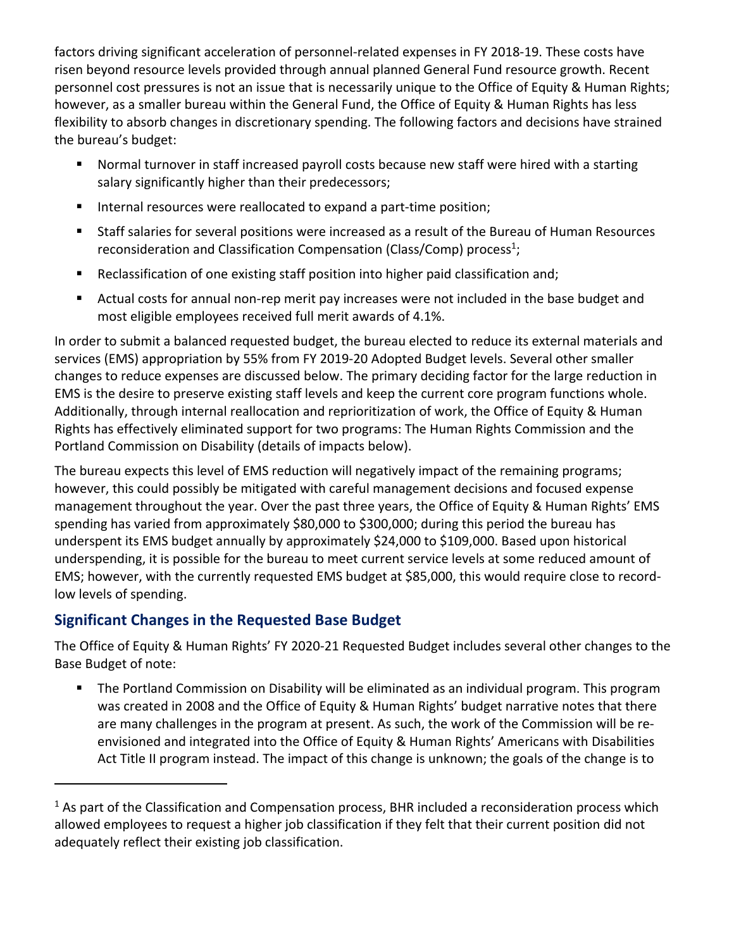factors driving significant acceleration of personnel-related expenses in FY 2018-19. These costs have risen beyond resource levels provided through annual planned General Fund resource growth. Recent personnel cost pressures is not an issue that is necessarily unique to the Office of Equity & Human Rights; however, as a smaller bureau within the General Fund, the Office of Equity & Human Rights has less flexibility to absorb changes in discretionary spending. The following factors and decisions have strained the bureau's budget:

- Normal turnover in staff increased payroll costs because new staff were hired with a starting salary significantly higher than their predecessors;
- Internal resources were reallocated to expand a part-time position;
- Staff salaries for several positions were increased as a result of the Bureau of Human Resources reconsideration and Classification Compensation (Class/Comp) process<sup>1</sup>;
- Reclassification of one existing staff position into higher paid classification and;
- Actual costs for annual non-rep merit pay increases were not included in the base budget and most eligible employees received full merit awards of 4.1%.

In order to submit a balanced requested budget, the bureau elected to reduce its external materials and services (EMS) appropriation by 55% from FY 2019‐20 Adopted Budget levels. Several other smaller changes to reduce expenses are discussed below. The primary deciding factor for the large reduction in EMS is the desire to preserve existing staff levels and keep the current core program functions whole. Additionally, through internal reallocation and reprioritization of work, the Office of Equity & Human Rights has effectively eliminated support for two programs: The Human Rights Commission and the Portland Commission on Disability (details of impacts below).

The bureau expects this level of EMS reduction will negatively impact of the remaining programs; however, this could possibly be mitigated with careful management decisions and focused expense management throughout the year. Over the past three years, the Office of Equity & Human Rights' EMS spending has varied from approximately \$80,000 to \$300,000; during this period the bureau has underspent its EMS budget annually by approximately \$24,000 to \$109,000. Based upon historical underspending, it is possible for the bureau to meet current service levels at some reduced amount of EMS; however, with the currently requested EMS budget at \$85,000, this would require close to record‐ low levels of spending.

# **Significant Changes in the Requested Base Budget**

The Office of Equity & Human Rights' FY 2020‐21 Requested Budget includes several other changes to the Base Budget of note:

**The Portland Commission on Disability will be eliminated as an individual program. This program** was created in 2008 and the Office of Equity & Human Rights' budget narrative notes that there are many challenges in the program at present. As such, the work of the Commission will be re‐ envisioned and integrated into the Office of Equity & Human Rights' Americans with Disabilities Act Title II program instead. The impact of this change is unknown; the goals of the change is to

 $1$  As part of the Classification and Compensation process, BHR included a reconsideration process which allowed employees to request a higher job classification if they felt that their current position did not adequately reflect their existing job classification.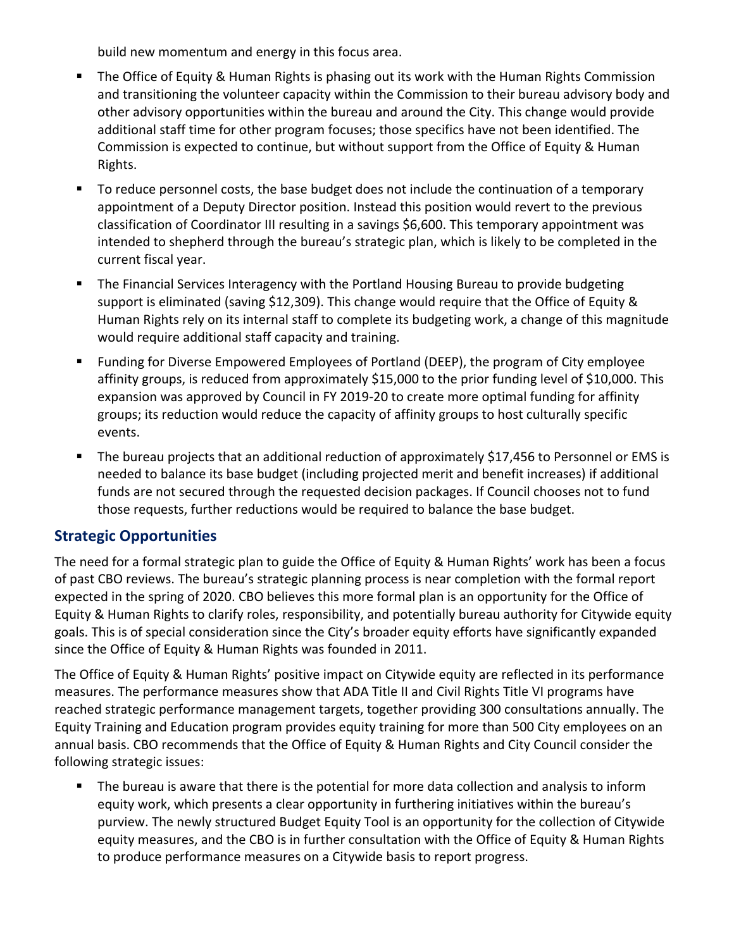build new momentum and energy in this focus area.

- **The Office of Equity & Human Rights is phasing out its work with the Human Rights Commission** and transitioning the volunteer capacity within the Commission to their bureau advisory body and other advisory opportunities within the bureau and around the City. This change would provide additional staff time for other program focuses; those specifics have not been identified. The Commission is expected to continue, but without support from the Office of Equity & Human Rights.
- To reduce personnel costs, the base budget does not include the continuation of a temporary appointment of a Deputy Director position. Instead this position would revert to the previous classification of Coordinator III resulting in a savings \$6,600. This temporary appointment was intended to shepherd through the bureau's strategic plan, which is likely to be completed in the current fiscal year.
- The Financial Services Interagency with the Portland Housing Bureau to provide budgeting support is eliminated (saving \$12,309). This change would require that the Office of Equity & Human Rights rely on its internal staff to complete its budgeting work, a change of this magnitude would require additional staff capacity and training.
- Funding for Diverse Empowered Employees of Portland (DEEP), the program of City employee affinity groups, is reduced from approximately \$15,000 to the prior funding level of \$10,000. This expansion was approved by Council in FY 2019-20 to create more optimal funding for affinity groups; its reduction would reduce the capacity of affinity groups to host culturally specific events.
- The bureau projects that an additional reduction of approximately \$17,456 to Personnel or EMS is needed to balance its base budget (including projected merit and benefit increases) if additional funds are not secured through the requested decision packages. If Council chooses not to fund those requests, further reductions would be required to balance the base budget.

## **Strategic Opportunities**

The need for a formal strategic plan to guide the Office of Equity & Human Rights' work has been a focus of past CBO reviews. The bureau's strategic planning process is near completion with the formal report expected in the spring of 2020. CBO believes this more formal plan is an opportunity for the Office of Equity & Human Rights to clarify roles, responsibility, and potentially bureau authority for Citywide equity goals. This is of special consideration since the City's broader equity efforts have significantly expanded since the Office of Equity & Human Rights was founded in 2011.

The Office of Equity & Human Rights' positive impact on Citywide equity are reflected in its performance measures. The performance measures show that ADA Title II and Civil Rights Title VI programs have reached strategic performance management targets, together providing 300 consultations annually. The Equity Training and Education program provides equity training for more than 500 City employees on an annual basis. CBO recommends that the Office of Equity & Human Rights and City Council consider the following strategic issues:

**The bureau is aware that there is the potential for more data collection and analysis to inform** equity work, which presents a clear opportunity in furthering initiatives within the bureau's purview. The newly structured Budget Equity Tool is an opportunity for the collection of Citywide equity measures, and the CBO is in further consultation with the Office of Equity & Human Rights to produce performance measures on a Citywide basis to report progress.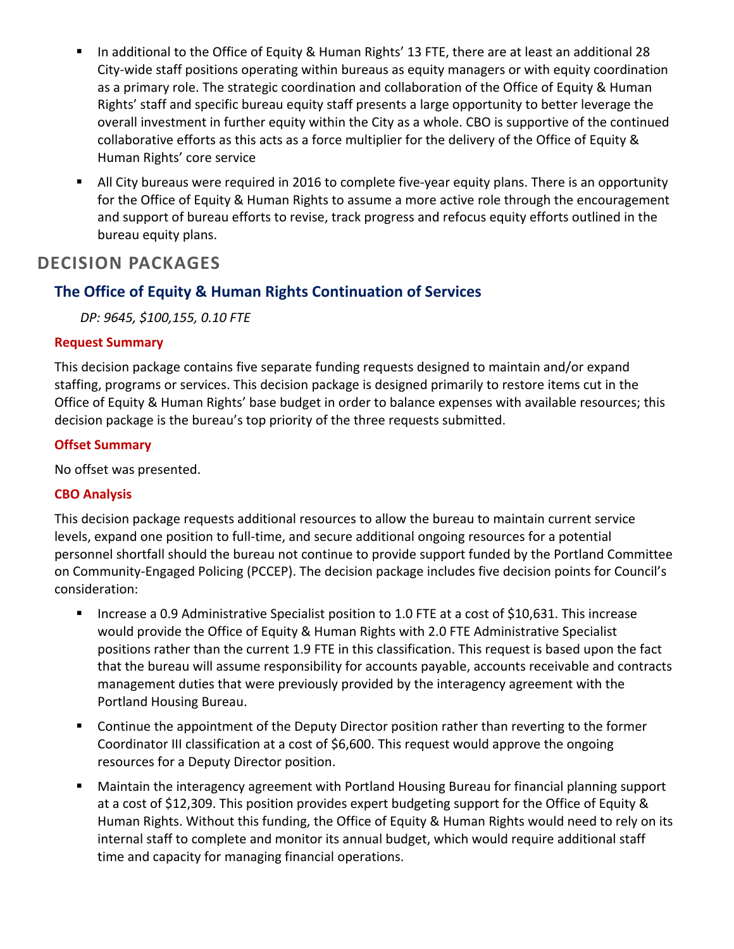- In additional to the Office of Equity & Human Rights' 13 FTE, there are at least an additional 28 City‐wide staff positions operating within bureaus as equity managers or with equity coordination as a primary role. The strategic coordination and collaboration of the Office of Equity & Human Rights' staff and specific bureau equity staff presents a large opportunity to better leverage the overall investment in further equity within the City as a whole. CBO is supportive of the continued collaborative efforts as this acts as a force multiplier for the delivery of the Office of Equity & Human Rights' core service
- All City bureaus were required in 2016 to complete five‐year equity plans. There is an opportunity for the Office of Equity & Human Rights to assume a more active role through the encouragement and support of bureau efforts to revise, track progress and refocus equity efforts outlined in the bureau equity plans.

# **DECISION PACKAGES**

## **The Office of Equity & Human Rights Continuation of Services**

*DP: 9645, \$100,155, 0.10 FTE*

#### **Request Summary**

This decision package contains five separate funding requests designed to maintain and/or expand staffing, programs or services. This decision package is designed primarily to restore items cut in the Office of Equity & Human Rights' base budget in order to balance expenses with available resources; this decision package is the bureau's top priority of the three requests submitted.

## **Offset Summary**

No offset was presented.

## **CBO Analysis**

This decision package requests additional resources to allow the bureau to maintain current service levels, expand one position to full‐time, and secure additional ongoing resources for a potential personnel shortfall should the bureau not continue to provide support funded by the Portland Committee on Community‐Engaged Policing (PCCEP). The decision package includes five decision points for Council's consideration:

- Increase a 0.9 Administrative Specialist position to 1.0 FTE at a cost of \$10,631. This increase would provide the Office of Equity & Human Rights with 2.0 FTE Administrative Specialist positions rather than the current 1.9 FTE in this classification. This request is based upon the fact that the bureau will assume responsibility for accounts payable, accounts receivable and contracts management duties that were previously provided by the interagency agreement with the Portland Housing Bureau.
- Continue the appointment of the Deputy Director position rather than reverting to the former Coordinator III classification at a cost of \$6,600. This request would approve the ongoing resources for a Deputy Director position.
- Maintain the interagency agreement with Portland Housing Bureau for financial planning support at a cost of \$12,309. This position provides expert budgeting support for the Office of Equity & Human Rights. Without this funding, the Office of Equity & Human Rights would need to rely on its internal staff to complete and monitor its annual budget, which would require additional staff time and capacity for managing financial operations.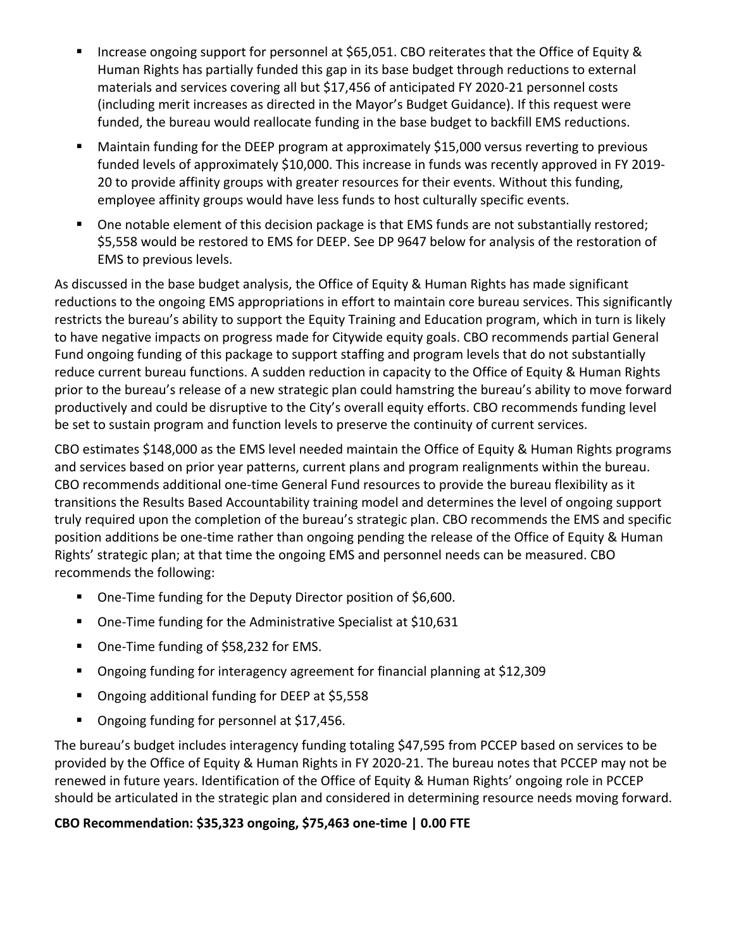- Increase ongoing support for personnel at \$65,051. CBO reiterates that the Office of Equity & Human Rights has partially funded this gap in its base budget through reductions to external materials and services covering all but \$17,456 of anticipated FY 2020‐21 personnel costs (including merit increases as directed in the Mayor's Budget Guidance). If this request were funded, the bureau would reallocate funding in the base budget to backfill EMS reductions.
- Maintain funding for the DEEP program at approximately \$15,000 versus reverting to previous funded levels of approximately \$10,000. This increase in funds was recently approved in FY 2019‐ 20 to provide affinity groups with greater resources for their events. Without this funding, employee affinity groups would have less funds to host culturally specific events.
- One notable element of this decision package is that EMS funds are not substantially restored; \$5,558 would be restored to EMS for DEEP. See DP 9647 below for analysis of the restoration of EMS to previous levels.

As discussed in the base budget analysis, the Office of Equity & Human Rights has made significant reductions to the ongoing EMS appropriations in effort to maintain core bureau services. This significantly restricts the bureau's ability to support the Equity Training and Education program, which in turn is likely to have negative impacts on progress made for Citywide equity goals. CBO recommends partial General Fund ongoing funding of this package to support staffing and program levels that do not substantially reduce current bureau functions. A sudden reduction in capacity to the Office of Equity & Human Rights prior to the bureau's release of a new strategic plan could hamstring the bureau's ability to move forward productively and could be disruptive to the City's overall equity efforts. CBO recommends funding level be set to sustain program and function levels to preserve the continuity of current services.

CBO estimates \$148,000 as the EMS level needed maintain the Office of Equity & Human Rights programs and services based on prior year patterns, current plans and program realignments within the bureau. CBO recommends additional one‐time General Fund resources to provide the bureau flexibility as it transitions the Results Based Accountability training model and determines the level of ongoing support truly required upon the completion of the bureau's strategic plan. CBO recommends the EMS and specific position additions be one-time rather than ongoing pending the release of the Office of Equity & Human Rights' strategic plan; at that time the ongoing EMS and personnel needs can be measured. CBO recommends the following:

- One-Time funding for the Deputy Director position of \$6,600.
- One-Time funding for the Administrative Specialist at \$10,631
- One-Time funding of \$58,232 for EMS.
- Ongoing funding for interagency agreement for financial planning at \$12,309
- Ongoing additional funding for DEEP at \$5,558
- Ongoing funding for personnel at \$17,456.

The bureau's budget includes interagency funding totaling \$47,595 from PCCEP based on services to be provided by the Office of Equity & Human Rights in FY 2020‐21. The bureau notes that PCCEP may not be renewed in future years. Identification of the Office of Equity & Human Rights' ongoing role in PCCEP should be articulated in the strategic plan and considered in determining resource needs moving forward.

## **CBO Recommendation: \$35,323 ongoing, \$75,463 one‐time | 0.00 FTE**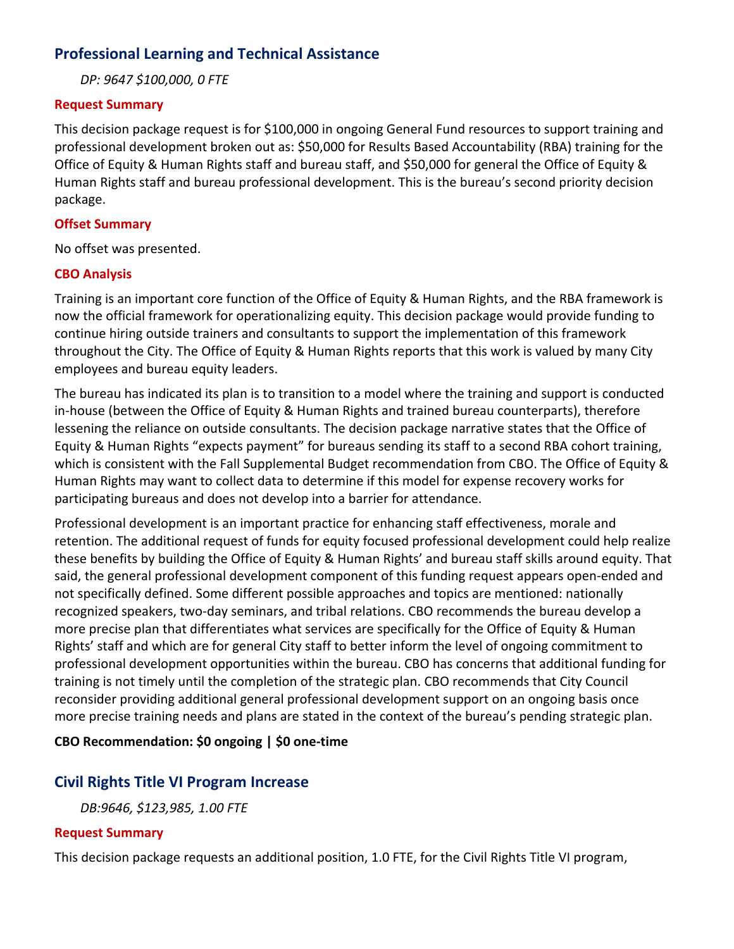## **Professional Learning and Technical Assistance**

*DP: 9647 \$100,000, 0 FTE*

#### **Request Summary**

This decision package request is for \$100,000 in ongoing General Fund resources to support training and professional development broken out as: \$50,000 for Results Based Accountability (RBA) training for the Office of Equity & Human Rights staff and bureau staff, and \$50,000 for general the Office of Equity & Human Rights staff and bureau professional development. This is the bureau's second priority decision package.

#### **Offset Summary**

No offset was presented.

#### **CBO Analysis**

Training is an important core function of the Office of Equity & Human Rights, and the RBA framework is now the official framework for operationalizing equity. This decision package would provide funding to continue hiring outside trainers and consultants to support the implementation of this framework throughout the City. The Office of Equity & Human Rights reports that this work is valued by many City employees and bureau equity leaders.

The bureau has indicated its plan is to transition to a model where the training and support is conducted in-house (between the Office of Equity & Human Rights and trained bureau counterparts), therefore lessening the reliance on outside consultants. The decision package narrative states that the Office of Equity & Human Rights "expects payment" for bureaus sending its staff to a second RBA cohort training, which is consistent with the Fall Supplemental Budget recommendation from CBO. The Office of Equity & Human Rights may want to collect data to determine if this model for expense recovery works for participating bureaus and does not develop into a barrier for attendance.

Professional development is an important practice for enhancing staff effectiveness, morale and retention. The additional request of funds for equity focused professional development could help realize these benefits by building the Office of Equity & Human Rights' and bureau staff skills around equity. That said, the general professional development component of this funding request appears open‐ended and not specifically defined. Some different possible approaches and topics are mentioned: nationally recognized speakers, two‐day seminars, and tribal relations. CBO recommends the bureau develop a more precise plan that differentiates what services are specifically for the Office of Equity & Human Rights' staff and which are for general City staff to better inform the level of ongoing commitment to professional development opportunities within the bureau. CBO has concerns that additional funding for training is not timely until the completion of the strategic plan. CBO recommends that City Council reconsider providing additional general professional development support on an ongoing basis once more precise training needs and plans are stated in the context of the bureau's pending strategic plan.

#### **CBO Recommendation: \$0 ongoing | \$0 one‐time**

## **Civil Rights Title VI Program Increase**

*DB:9646, \$123,985, 1.00 FTE*

#### **Request Summary**

This decision package requests an additional position, 1.0 FTE, for the Civil Rights Title VI program,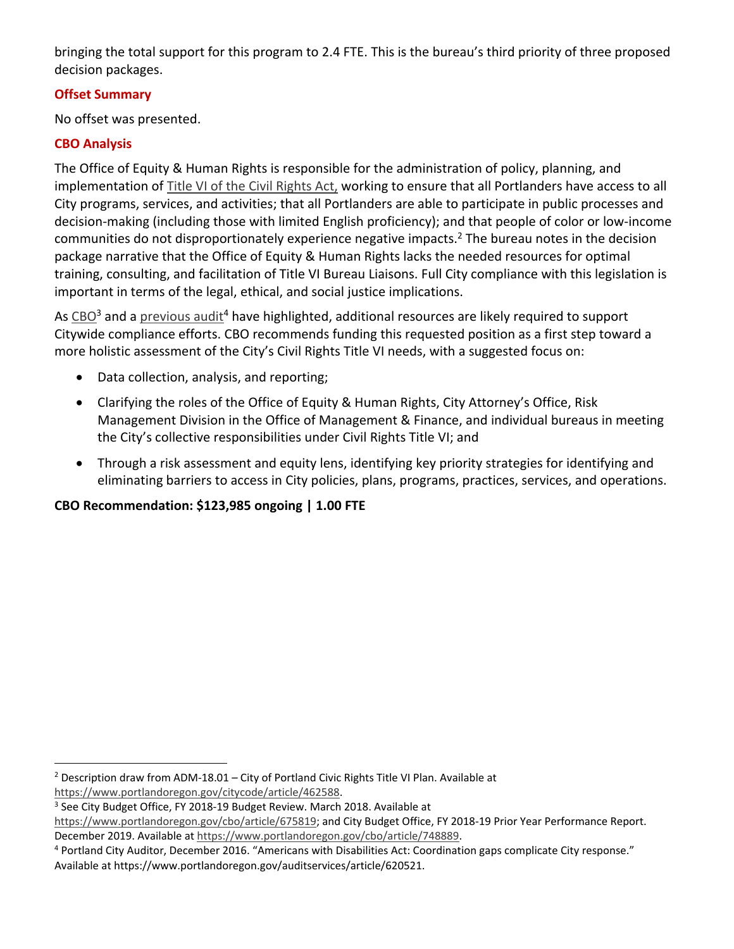bringing the total support for this program to 2.4 FTE. This is the bureau's third priority of three proposed decision packages.

## **Offset Summary**

No offset was presented.

## **CBO Analysis**

The Office of Equity & Human Rights is responsible for the administration of policy, planning, and implementation of Title VI of the Civil Rights Act, working to ensure that all Portlanders have access to all City programs, services, and activities; that all Portlanders are able to participate in public processes and decision‐making (including those with limited English proficiency); and that people of color or low‐income communities do not disproportionately experience negative impacts.<sup>2</sup> The bureau notes in the decision package narrative that the Office of Equity & Human Rights lacks the needed resources for optimal training, consulting, and facilitation of Title VI Bureau Liaisons. Full City compliance with this legislation is important in terms of the legal, ethical, and social justice implications.

As  $CBO<sup>3</sup>$  and a previous audit<sup>4</sup> have highlighted, additional resources are likely required to support Citywide compliance efforts. CBO recommends funding this requested position as a first step toward a more holistic assessment of the City's Civil Rights Title VI needs, with a suggested focus on:

- Data collection, analysis, and reporting;
- Clarifying the roles of the Office of Equity & Human Rights, City Attorney's Office, Risk Management Division in the Office of Management & Finance, and individual bureaus in meeting the City's collective responsibilities under Civil Rights Title VI; and
- Through a risk assessment and equity lens, identifying key priority strategies for identifying and eliminating barriers to access in City policies, plans, programs, practices, services, and operations.

## **CBO Recommendation: \$123,985 ongoing | 1.00 FTE**

<sup>&</sup>lt;sup>2</sup> Description draw from ADM-18.01 – City of Portland Civic Rights Title VI Plan. Available at https://www.portlandoregon.gov/citycode/article/462588.

<sup>&</sup>lt;sup>3</sup> See City Budget Office, FY 2018-19 Budget Review. March 2018. Available at

https://www.portlandoregon.gov/cbo/article/675819; and City Budget Office, FY 2018-19 Prior Year Performance Report. December 2019. Available at https://www.portlandoregon.gov/cbo/article/748889.

<sup>4</sup> Portland City Auditor, December 2016. "Americans with Disabilities Act: Coordination gaps complicate City response." Available at https://www.portlandoregon.gov/auditservices/article/620521.